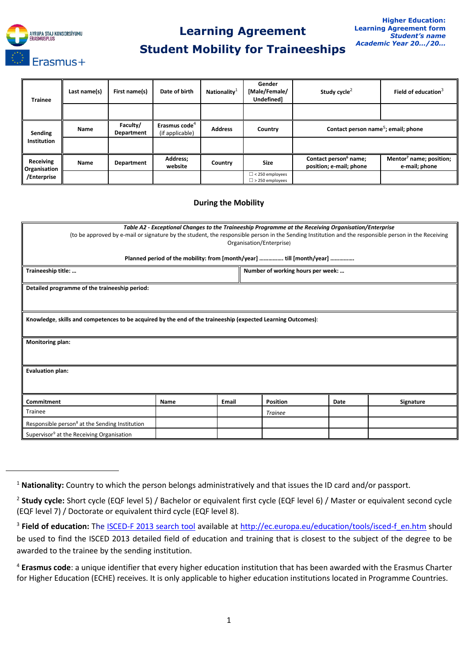

 $\ddot{\phantom{a}}$ 

## **Learning Agreement**

## **Student Mobility for Traineeships**

| <b>Trainee</b>                           | Last name(s) | First name(s)          | Date of birth                                | Nationality <sup>1</sup> | Gender<br>[Male/Female/<br>Undefined]            | Study cycle <sup>2</sup>                                     | Field of education $3$                               |  |
|------------------------------------------|--------------|------------------------|----------------------------------------------|--------------------------|--------------------------------------------------|--------------------------------------------------------------|------------------------------------------------------|--|
|                                          |              |                        |                                              |                          |                                                  |                                                              |                                                      |  |
| Sending<br>Institution                   | Name         | Faculty/<br>Department | Erasmus code <sup>4</sup><br>(if applicable) | <b>Address</b>           | Country                                          | Contact person name <sup>5</sup> ; email; phone              |                                                      |  |
|                                          |              |                        |                                              |                          |                                                  |                                                              |                                                      |  |
| Receiving<br>Organisation<br>/Enterprise | Name         | Department             | Address;<br>website                          | Country                  | <b>Size</b>                                      | Contact person <sup>6</sup> name;<br>position; e-mail; phone | Mentor <sup>7</sup> name; position;<br>e-mail; phone |  |
|                                          |              |                        |                                              |                          | $\Box$ < 250 employees<br>$\Box$ > 250 employees |                                                              |                                                      |  |

## **During the Mobility**

| Table A2 - Exceptional Changes to the Traineeship Programme at the Receiving Organisation/Enterprise<br>(to be approved by e-mail or signature by the student, the responsible person in the Sending Institution and the responsible person in the Receiving<br>Organisation/Enterprise) |      |       |                                   |      |           |  |  |  |  |  |  |
|------------------------------------------------------------------------------------------------------------------------------------------------------------------------------------------------------------------------------------------------------------------------------------------|------|-------|-----------------------------------|------|-----------|--|--|--|--|--|--|
| Planned period of the mobility: from [month/year]  till [month/year]                                                                                                                                                                                                                     |      |       |                                   |      |           |  |  |  |  |  |  |
| Traineeship title:                                                                                                                                                                                                                                                                       |      |       | Number of working hours per week: |      |           |  |  |  |  |  |  |
| Detailed programme of the traineeship period:                                                                                                                                                                                                                                            |      |       |                                   |      |           |  |  |  |  |  |  |
|                                                                                                                                                                                                                                                                                          |      |       |                                   |      |           |  |  |  |  |  |  |
| Knowledge, skills and competences to be acquired by the end of the traineeship (expected Learning Outcomes):                                                                                                                                                                             |      |       |                                   |      |           |  |  |  |  |  |  |
| Monitoring plan:                                                                                                                                                                                                                                                                         |      |       |                                   |      |           |  |  |  |  |  |  |
| <b>Evaluation plan:</b>                                                                                                                                                                                                                                                                  |      |       |                                   |      |           |  |  |  |  |  |  |
| Commitment                                                                                                                                                                                                                                                                               | Name | Email | <b>Position</b>                   | Date | Signature |  |  |  |  |  |  |
| Trainee                                                                                                                                                                                                                                                                                  |      |       | <b>Trainee</b>                    |      |           |  |  |  |  |  |  |
| Responsible person <sup>8</sup> at the Sending Institution                                                                                                                                                                                                                               |      |       |                                   |      |           |  |  |  |  |  |  |
| Supervisor <sup>9</sup> at the Receiving Organisation                                                                                                                                                                                                                                    |      |       |                                   |      |           |  |  |  |  |  |  |

<sup>1</sup> **Nationality:** Country to which the person belongs administratively and that issues the ID card and/or passport.

<sup>2</sup> **Study cycle:** Short cycle (EQF level 5) / Bachelor or equivalent first cycle (EQF level 6) / Master or equivalent second cycle (EQF level 7) / Doctorate or equivalent third cycle (EQF level 8).

<sup>&</sup>lt;sup>3</sup> Field of education: The <u>[ISCED-F 2013 search tool](http://ec.europa.eu/education/tools/isced-f_en.htm)</u> available at [http://ec.europa.eu/education/tools/isced-f\\_en.htm](http://ec.europa.eu/education/tools/isced-f_en.htm) should be used to find the ISCED 2013 detailed field of education and training that is closest to the subject of the degree to be awarded to the trainee by the sending institution.

<sup>4</sup> **Erasmus code**: a unique identifier that every higher education institution that has been awarded with the Erasmus Charter for Higher Education (ECHE) receives. It is only applicable to higher education institutions located in Programme Countries.